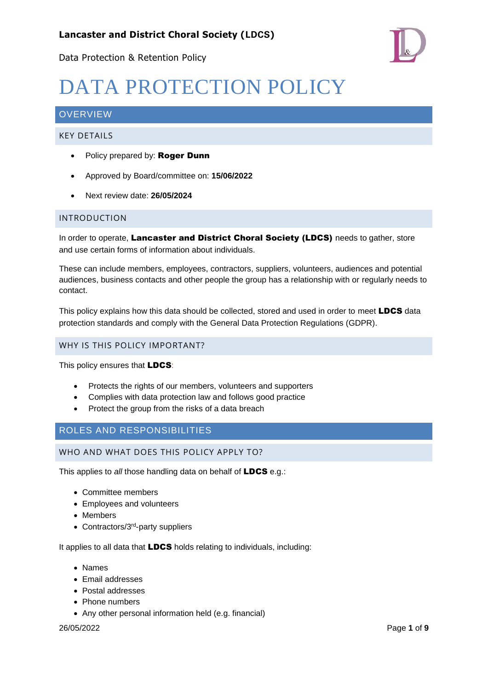



# DATA PROTECTION POLICY

# **OVERVIEW**

#### KEY DETAILS

- Policy prepared by: Roger Dunn
- Approved by Board/committee on: **15/06/2022**
- Next review date: **26/05/2024**

#### INTRODUCTION

In order to operate, Lancaster and District Choral Society (LDCS) needs to gather, store and use certain forms of information about individuals.

These can include members, employees, contractors, suppliers, volunteers, audiences and potential audiences, business contacts and other people the group has a relationship with or regularly needs to contact.

This policy explains how this data should be collected, stored and used in order to meet LDCS data protection standards and comply with the General Data Protection Regulations (GDPR).

#### WHY IS THIS POLICY IMPORTANT?

This policy ensures that **LDCS:** 

- Protects the rights of our members, volunteers and supporters
- Complies with data protection law and follows good practice
- Protect the group from the risks of a data breach

#### ROLES AND RESPONSIBILITIES

WHO AND WHAT DOES THIS POLICY APPLY TO?

This applies to *all* those handling data on behalf of LDCS e.g.:

- Committee members
- Employees and volunteers
- Members
- Contractors/3<sup>rd</sup>-party suppliers

It applies to all data that **LDCS** holds relating to individuals, including:

- Names
- Email addresses
- Postal addresses
- Phone numbers
- Any other personal information held (e.g. financial)

#### 26/05/2022 Page **1** of **9**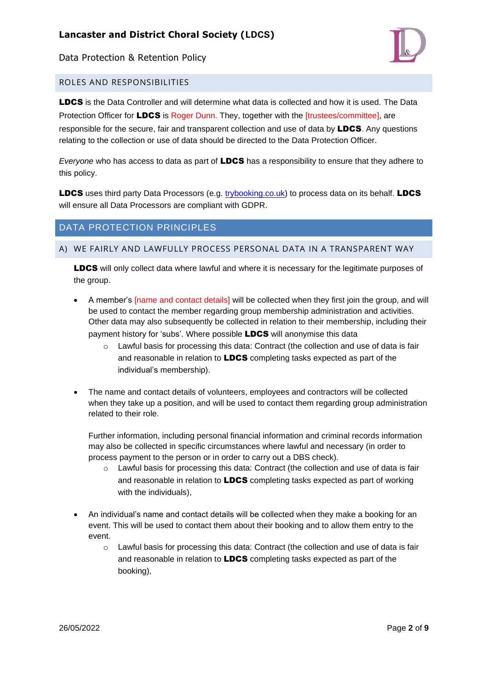

#### ROLES AND RESPONSIBILITIES

LDCS is the Data Controller and will determine what data is collected and how it is used. The Data Protection Officer for LDCS is Roger Dunn. They, together with the [trustees/committee], are responsible for the secure, fair and transparent collection and use of data by **LDCS**. Any questions relating to the collection or use of data should be directed to the Data Protection Officer.

*Everyone* who has access to data as part of LDCS has a responsibility to ensure that they adhere to this policy.

LDCS uses third party Data Processors (e.g. [trybooking.co.uk\)](http://trybooking.co.uk/) to process data on its behalf. LDCS will ensure all Data Processors are compliant with GDPR.

# DATA PROTECTION PRINCIPLES

#### A) WE FAIRLY AND LAWFULLY PROCESS PERSONAL DATA IN A TRANSPARENT WAY

**LDCS** will only collect data where lawful and where it is necessary for the legitimate purposes of the group.

- A member's [name and contact details] will be collected when they first join the group, and will be used to contact the member regarding group membership administration and activities. Other data may also subsequently be collected in relation to their membership, including their payment history for 'subs'. Where possible LDCS will anonymise this data
	- $\circ$  Lawful basis for processing this data: Contract (the collection and use of data is fair and reasonable in relation to **LDCS** completing tasks expected as part of the individual's membership).
- The name and contact details of volunteers, employees and contractors will be collected when they take up a position, and will be used to contact them regarding group administration related to their role.

Further information, including personal financial information and criminal records information may also be collected in specific circumstances where lawful and necessary (in order to process payment to the person or in order to carry out a DBS check).

- Lawful basis for processing this data: Contract (the collection and use of data is fair and reasonable in relation to **LDCS** completing tasks expected as part of working with the individuals),
- An individual's name and contact details will be collected when they make a booking for an event. This will be used to contact them about their booking and to allow them entry to the event.
	- o Lawful basis for processing this data: Contract (the collection and use of data is fair and reasonable in relation to **LDCS** completing tasks expected as part of the booking),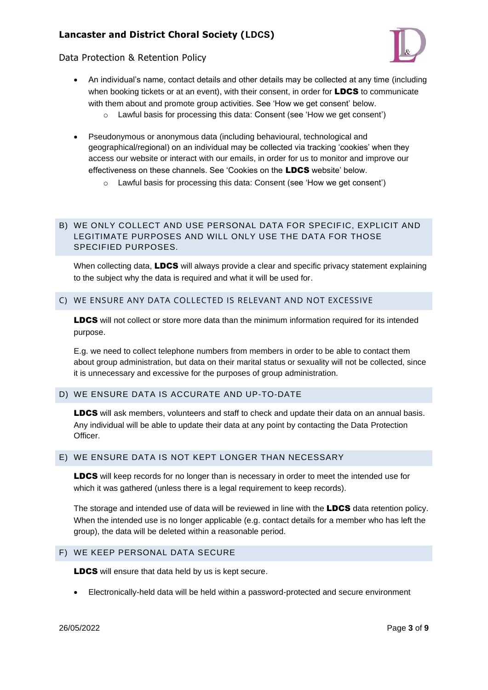

#### Data Protection & Retention Policy

- An individual's name, contact details and other details may be collected at any time (including when booking tickets or at an event), with their consent, in order for **LDCS** to communicate with them about and promote group activities. See 'How we get consent' below.  $\circ$  Lawful basis for processing this data: Consent (see 'How we get consent')
- Pseudonymous or anonymous data (including behavioural, technological and geographical/regional) on an individual may be collected via tracking 'cookies' when they access our website or interact with our emails, in order for us to monitor and improve our effectiveness on these channels. See 'Cookies on the LDCS website' below.
	- o Lawful basis for processing this data: Consent (see 'How we get consent')

#### B) WE ONLY COLLECT AND USE PERSONAL DATA FOR SPECIFIC, EXPLICIT AND LEGITIMATE PURPOSES AND WILL ONLY USE THE DATA FOR THOSE SPECIFIED PURPOSES.

When collecting data, LDCS will always provide a clear and specific privacy statement explaining to the subject why the data is required and what it will be used for.

#### C) WE ENSURE ANY DATA COLLECTED IS RELEVANT AND NOT EXCESSIVE

**LDCS** will not collect or store more data than the minimum information required for its intended purpose.

E.g. we need to collect telephone numbers from members in order to be able to contact them about group administration, but data on their marital status or sexuality will not be collected, since it is unnecessary and excessive for the purposes of group administration.

#### D) WE ENSURE DATA IS ACCURATE AND UP-TO-DATE

LDCS will ask members, volunteers and staff to check and update their data on an annual basis. Any individual will be able to update their data at any point by contacting the Data Protection Officer.

#### E) WE ENSURE DATA IS NOT KEPT LONGER THAN NECESSARY

**LDCS** will keep records for no longer than is necessary in order to meet the intended use for which it was gathered (unless there is a legal requirement to keep records).

The storage and intended use of data will be reviewed in line with the **LDCS** data retention policy. When the intended use is no longer applicable (e.g. contact details for a member who has left the group), the data will be deleted within a reasonable period.

#### F) WE KEEP PERSONAL DATA SECURE

LDCS will ensure that data held by us is kept secure.

• Electronically-held data will be held within a password-protected and secure environment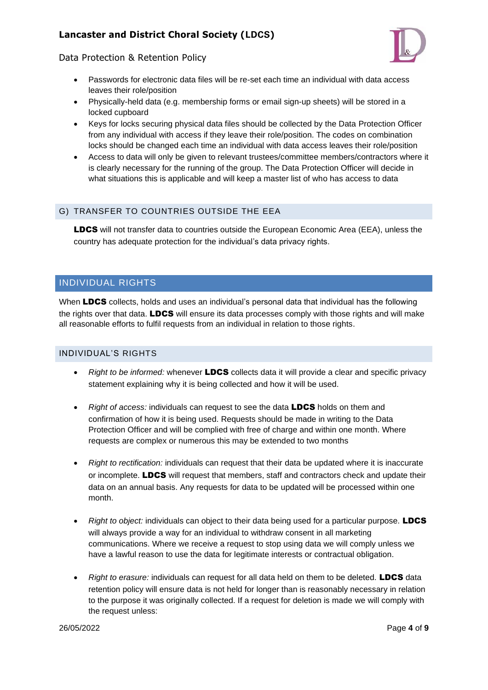

#### Data Protection & Retention Policy

- Passwords for electronic data files will be re-set each time an individual with data access leaves their role/position
- Physically-held data (e.g. membership forms or email sign-up sheets) will be stored in a locked cupboard
- Keys for locks securing physical data files should be collected by the Data Protection Officer from any individual with access if they leave their role/position. The codes on combination locks should be changed each time an individual with data access leaves their role/position
- Access to data will only be given to relevant trustees/committee members/contractors where it is clearly necessary for the running of the group. The Data Protection Officer will decide in what situations this is applicable and will keep a master list of who has access to data

# G) TRANSFER TO COUNTRIES OUTSIDE THE EEA

LDCS will not transfer data to countries outside the European Economic Area (EEA), unless the country has adequate protection for the individual's data privacy rights.

# INDIVIDUAL RIGHTS

When LDCS collects, holds and uses an individual's personal data that individual has the following the rights over that data. LDCS will ensure its data processes comply with those rights and will make all reasonable efforts to fulfil requests from an individual in relation to those rights.

#### INDIVIDUAL'S RIGHTS

- *Right to be informed:* whenever LDCS collects data it will provide a clear and specific privacy statement explaining why it is being collected and how it will be used.
- *Right of access:* individuals can request to see the data LDCS holds on them and confirmation of how it is being used. Requests should be made in writing to the Data Protection Officer and will be complied with free of charge and within one month. Where requests are complex or numerous this may be extended to two months
- *Right to rectification:* individuals can request that their data be updated where it is inaccurate or incomplete. LDCS will request that members, staff and contractors check and update their data on an annual basis. Any requests for data to be updated will be processed within one month.
- *Right to object:* individuals can object to their data being used for a particular purpose. **LDCS** will always provide a way for an individual to withdraw consent in all marketing communications. Where we receive a request to stop using data we will comply unless we have a lawful reason to use the data for legitimate interests or contractual obligation.
- *Right to erasure:* individuals can request for all data held on them to be deleted. LDCS data retention policy will ensure data is not held for longer than is reasonably necessary in relation to the purpose it was originally collected. If a request for deletion is made we will comply with the request unless: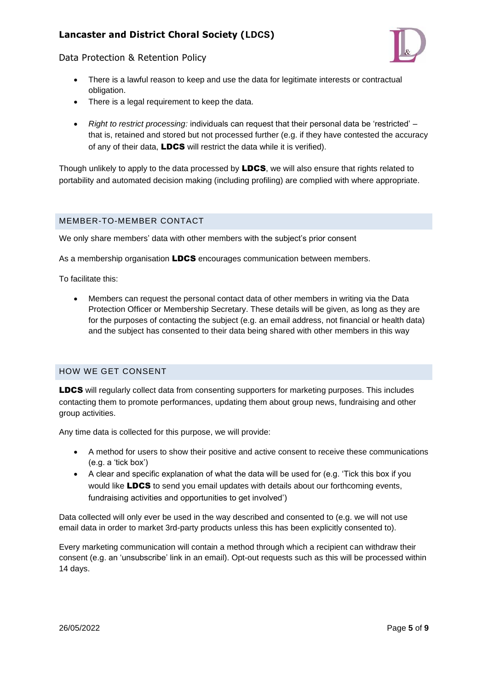



- There is a lawful reason to keep and use the data for legitimate interests or contractual obligation.
- There is a legal requirement to keep the data.
- *Right to restrict processing:* individuals can request that their personal data be 'restricted' that is, retained and stored but not processed further (e.g. if they have contested the accuracy of any of their data, **LDCS** will restrict the data while it is verified).

Though unlikely to apply to the data processed by LDCS, we will also ensure that rights related to portability and automated decision making (including profiling) are complied with where appropriate.

#### MEMBER-TO-MEMBER CONTACT

We only share members' data with other members with the subject's prior consent

As a membership organisation **LDCS** encourages communication between members.

To facilitate this:

• Members can request the personal contact data of other members in writing via the Data Protection Officer or Membership Secretary. These details will be given, as long as they are for the purposes of contacting the subject (e.g. an email address, not financial or health data) and the subject has consented to their data being shared with other members in this way

#### HOW WE GET CONSENT

LDCS will regularly collect data from consenting supporters for marketing purposes. This includes contacting them to promote performances, updating them about group news, fundraising and other group activities.

Any time data is collected for this purpose, we will provide:

- A method for users to show their positive and active consent to receive these communications (e.g. a 'tick box')
- A clear and specific explanation of what the data will be used for (e.g. 'Tick this box if you would like LDCS to send you email updates with details about our forthcoming events, fundraising activities and opportunities to get involved')

Data collected will only ever be used in the way described and consented to (e.g. we will not use email data in order to market 3rd-party products unless this has been explicitly consented to).

Every marketing communication will contain a method through which a recipient can withdraw their consent (e.g. an 'unsubscribe' link in an email). Opt-out requests such as this will be processed within 14 days.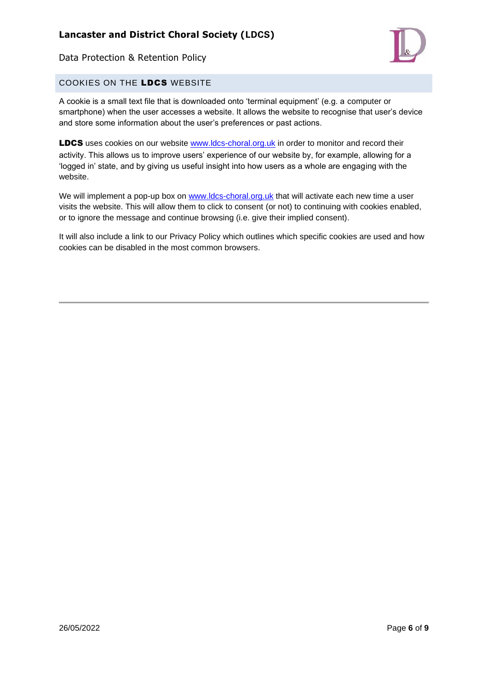

# COOKIES ON THE LDCS WEBSITE

A cookie is a small text file that is downloaded onto 'terminal equipment' (e.g. a computer or smartphone) when the user accesses a website. It allows the website to recognise that user's device and store some information about the user's preferences or past actions.

LDCS uses cookies on our website [www.ldcs-choral.org.uk](http://www.ldcs-choral.org.uk/) in order to monitor and record their activity. This allows us to improve users' experience of our website by, for example, allowing for a 'logged in' state, and by giving us useful insight into how users as a whole are engaging with the website.

We will implement a pop-up box on [www.ldcs-choral.org.uk](http://www.ldcs-choral.org.uk/) that will activate each new time a user visits the website. This will allow them to click to consent (or not) to continuing with cookies enabled, or to ignore the message and continue browsing (i.e. give their implied consent).

It will also include a link to our Privacy Policy which outlines which specific cookies are used and how cookies can be disabled in the most common browsers.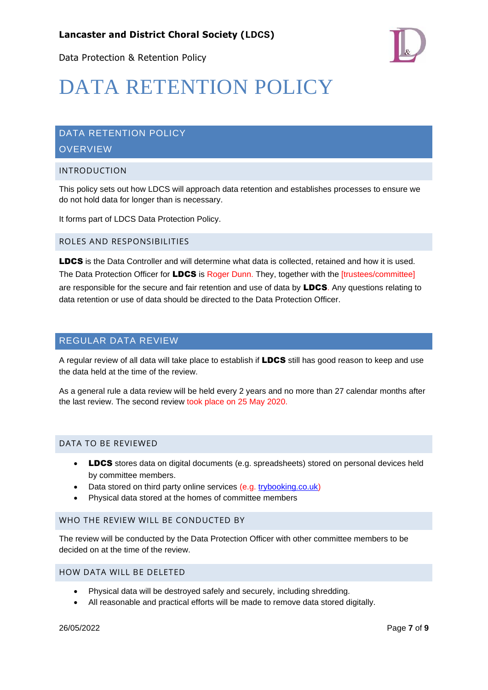

# DATA RETENTION POLICY

# DATA RETENTION POLICY **OVERVIEW**

#### INTRODUCTION

This policy sets out how LDCS will approach data retention and establishes processes to ensure we do not hold data for longer than is necessary.

It forms part of LDCS Data Protection Policy.

#### ROLES AND RESPONSIBILITIES

LDCS is the Data Controller and will determine what data is collected, retained and how it is used. The Data Protection Officer for LDCS is Roger Dunn. They, together with the [trustees/committee] are responsible for the secure and fair retention and use of data by **LDCS**. Any questions relating to data retention or use of data should be directed to the Data Protection Officer.

#### REGULAR DATA REVIEW

A regular review of all data will take place to establish if LDCS still has good reason to keep and use the data held at the time of the review.

As a general rule a data review will be held every 2 years and no more than 27 calendar months after the last review. The second review took place on 25 May 2020.

#### DATA TO BE REVIEWED

- LDCS stores data on digital documents (e.g. spreadsheets) stored on personal devices held by committee members.
- Data stored on third party online services (e.g. [trybooking.co.uk\)](http://trybooking.co.uk/)
- Physical data stored at the homes of committee members

#### WHO THE REVIEW WILL BE CONDUCTED BY

The review will be conducted by the Data Protection Officer with other committee members to be decided on at the time of the review.

#### HOW DATA WILL BE DELETED

- Physical data will be destroyed safely and securely, including shredding.
- All reasonable and practical efforts will be made to remove data stored digitally.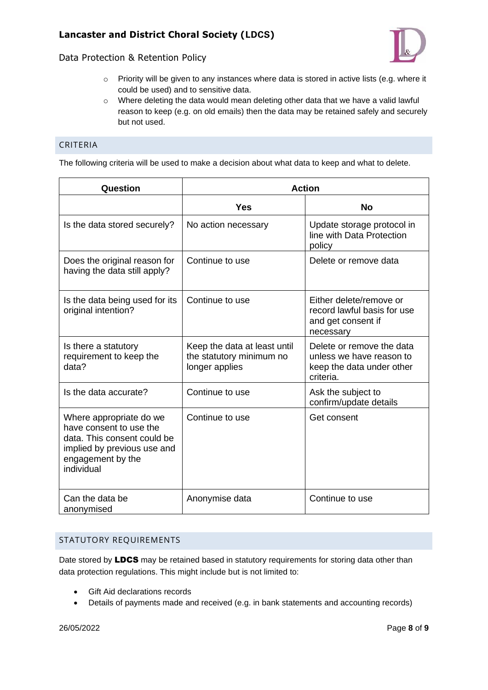- $\circ$  Priority will be given to any instances where data is stored in active lists (e.g. where it could be used) and to sensitive data.
- $\circ$  Where deleting the data would mean deleting other data that we have a valid lawful reason to keep (e.g. on old emails) then the data may be retained safely and securely but not used.

# CRITERIA

The following criteria will be used to make a decision about what data to keep and what to delete.

| Question                                                                                                                                            | <b>Action</b>                                                              |                                                                                                 |
|-----------------------------------------------------------------------------------------------------------------------------------------------------|----------------------------------------------------------------------------|-------------------------------------------------------------------------------------------------|
|                                                                                                                                                     | <b>Yes</b>                                                                 | <b>No</b>                                                                                       |
| Is the data stored securely?                                                                                                                        | No action necessary                                                        | Update storage protocol in<br>line with Data Protection<br>policy                               |
| Does the original reason for<br>having the data still apply?                                                                                        | Continue to use                                                            | Delete or remove data                                                                           |
| Is the data being used for its<br>original intention?                                                                                               | Continue to use                                                            | Either delete/remove or<br>record lawful basis for use<br>and get consent if<br>necessary       |
| Is there a statutory<br>requirement to keep the<br>data?                                                                                            | Keep the data at least until<br>the statutory minimum no<br>longer applies | Delete or remove the data<br>unless we have reason to<br>keep the data under other<br>criteria. |
| Is the data accurate?                                                                                                                               | Continue to use                                                            | Ask the subject to<br>confirm/update details                                                    |
| Where appropriate do we<br>have consent to use the<br>data. This consent could be<br>implied by previous use and<br>engagement by the<br>individual | Continue to use                                                            | Get consent                                                                                     |
| Can the data be<br>anonymised                                                                                                                       | Anonymise data                                                             | Continue to use                                                                                 |

#### STATUTORY REQUIREMENTS

Date stored by LDCS may be retained based in statutory requirements for storing data other than data protection regulations. This might include but is not limited to:

- Gift Aid declarations records
- Details of payments made and received (e.g. in bank statements and accounting records)